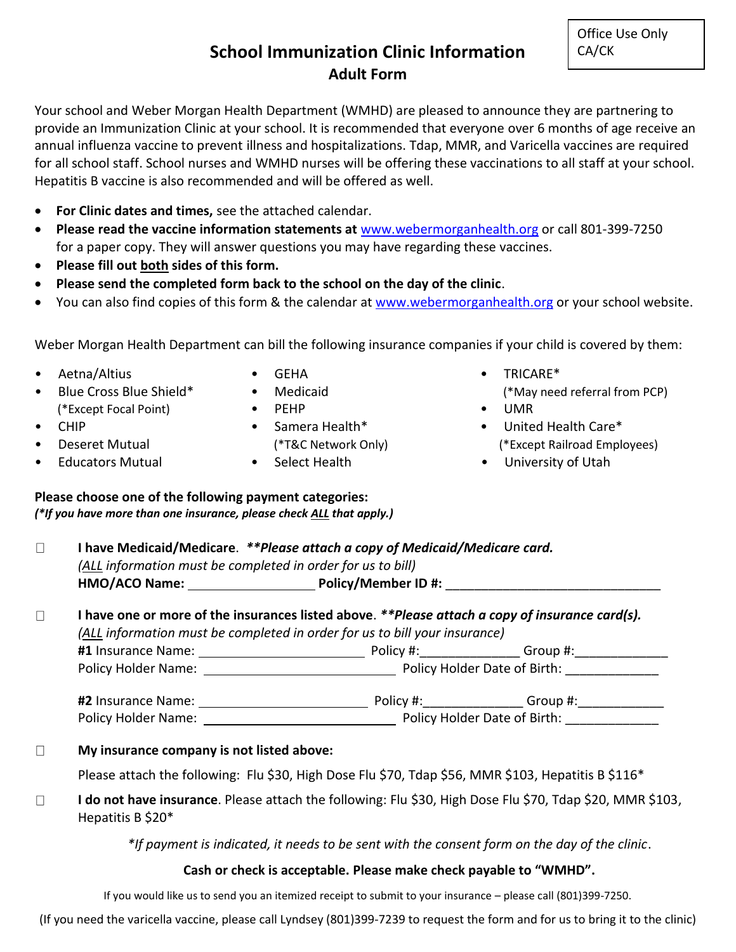## **School Immunization Clinic Information Adult Form**

Your school and Weber Morgan Health Department (WMHD) are pleased to announce they are partnering to provide an Immunization Clinic at your school. It is recommended that everyone over 6 months of age receive an annual influenza vaccine to prevent illness and hospitalizations. Tdap, MMR, and Varicella vaccines are required for all school staff. School nurses and WMHD nurses will be offering these vaccinations to all staff at your school. Hepatitis B vaccine is also recommended and will be offered as well.

- **For Clinic dates and times,** see the attached calendar.
- **Please read the vaccine information statements at** [www.webermorganhealth.org](http://www.webermorganhealth.org/) or call 801-399-7250 for a paper copy. They will answer questions you may have regarding these vaccines.
- **Please fill out both sides of this form.**
- **Please send the completed form back to the school on the day of the clinic**.
- You can also find copies of this form & the calendar at [www.webermorganhealth.org](http://www.webermorganhealth.org/) or your school website.

Weber Morgan Health Department can bill the following insurance companies if your child is covered by them:

- (\*Except Focal Point) PEHP UMR
- -
	-
	-
- 
- 

- 
- Aetna/Altius GEHA TRICARE\*

• Blue Cross Blue Shield\* • Medicaid (\*May need referral from PCP)

- 
- CHIP Samera Health\* United Health Care\* • Deseret Mutual (\*T&C Network Only) (\*Except Railroad Employees)
- Educators Mutual Select Health University of Utah

**Please choose one of the following payment categories:**  *(\*If you have more than one insurance, please check ALL that apply.)*

 $\Box$ **I have Medicaid/Medicare**. *\*\*Please attach a copy of Medicaid/Medicare card. (ALL information must be completed in order for us to bill)* **HMO/ACO Name: Policy/Member ID #:** \_\_\_\_\_\_\_\_\_\_\_\_\_\_\_\_\_\_\_\_\_\_\_\_\_\_\_\_\_\_

 $\Box$ **I have one or more of the insurances listed above**. *\*\*Please attach a copy of insurance card(s). (ALL information must be completed in order for us to bill your insurance)* **#1** Insurance Name: Policy #:\_\_\_\_\_\_\_\_\_\_\_\_\_\_ Group #:\_\_\_\_\_\_\_\_\_\_\_\_\_ Policy Holder Name: The Policy Holder Date of Birth:

**#2** Insurance Name: Policy #:\_\_\_\_\_\_\_\_\_\_\_\_\_\_ Group #:\_\_\_\_\_\_\_\_\_\_\_\_ Policy Holder Name: Policy Holder Date of Birth: \_\_\_\_\_\_\_\_\_\_\_\_\_

 $\Box$ **My insurance company is not listed above:**

Please attach the following: Flu \$30, High Dose Flu \$70, Tdap \$56, MMR \$103, Hepatitis B \$116\*

 $\Box$ **I do not have insurance**. Please attach the following: Flu \$30, High Dose Flu \$70, Tdap \$20, MMR \$103, Hepatitis B \$20\*

*\*If payment is indicated, it needs to be sent with the consent form on the day of the clinic*.

## **Cash or check is acceptable. Please make check payable to "WMHD".**

If you would like us to send you an itemized receipt to submit to your insurance – please call (801)399-7250.

(If you need the varicella vaccine, please call Lyndsey (801)399-7239 to request the form and for us to bring it to the clinic)